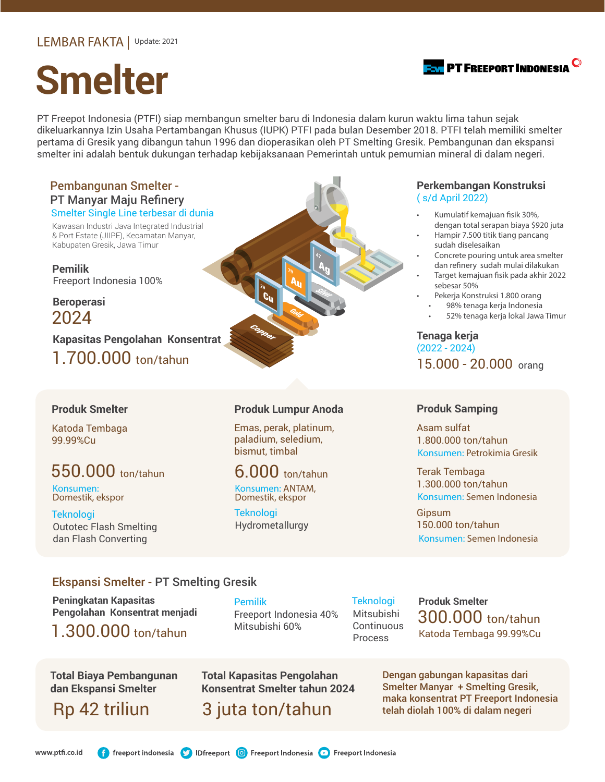# **Smelter**

PT Freepot Indonesia (PTFI) siap membangun smelter baru di Indonesia dalam kurun waktu lima tahun sejak dikeluarkannya Izin Usaha Pertambangan Khusus (IUPK) PTFI pada bulan Desember 2018. PTFI telah memiliki smelter pertama di Gresik yang dibangun tahun 1996 dan dioperasikan oleh PT Smelting Gresik. Pembangunan dan ekspansi smelter ini adalah bentuk dukungan terhadap kebijaksanaan Pemerintah untuk pemurnian mineral di dalam negeri.

## Pembangunan Smelter - PT Manyar Maju Refinery

Kawasan Industri Java Integrated Industrial & Port Estate (JIIPE), Kecamatan Manyar, Kabupaten Gresik, Jawa Timur

**Pemilik** Freeport Indonesia 100%

**Beroperasi** 2024

1.700.000 ton/tahun **Kapasitas Pengolahan Konsentrat**

### **Produk Smelter**

Katoda Tembaga 99.99%Cu

# 550.000 ton/tahun

Konsumen: Domestik, ekspor

Teknologi Outotec Flash Smelting dan Flash Converting

### **Produk Lumpur Anoda**

Emas, perak, platinum, paladium, seledium, bismut, timbal

## 6.000 ton/tahun

Konsumen: ANTAM, Domestik, ekspor

Teknologi

### **Perkembangan Konstruksi**  ( s/d April 2022)

- dengan total serapan biaya \$920 juta
- Hampir 7.500 titik tiang pancang sudah diselesaikan
- Concrete pouring untuk area smelter dan refinery sudah mulai dilakukan
- Target kemajuan fisik pada akhir 2022 sebesar 50%
- Pekerja Konstruksi 1.800 orang
	- 98% tenaga kerja Indonesia
	- 52% tenaga kerja lokal Jawa Timur

**Tenaga kerja** (2022 - 2024) 15.000 - 20.000 orang

### **Produk Samping**

1.800.000 ton/tahun Asam sulfat Konsumen: Petrokimia Gresik

Konsumen: Semen Indonesia 1.300.000 ton/tahun Terak Tembaga

Konsumen: Semen Indonesia 150.000 ton/tahun Gipsum

### Ekspansi Smelter - PT Smelting Gresik

**Peningkatan Kapasitas Pengolahan Konsentrat menjadi**

1.300.000 ton/tahun

**Total Biaya Pembangunan dan Ekspansi Smelter**

Rp 42 triliun

Freeport Indonesia 40% Mitsubishi 60% Pemilik

Mitsubishi **Continuous** Process **Teknologi** 

Katoda Tembaga 99.99%Cu **Produk Smelter** 300.000 ton/tahun

**Total Kapasitas Pengolahan Konsentrat Smelter tahun 2024**

3 juta ton/tahun

Dengan gabungan kapasitas dari Smelter Manyar + Smelting Gresik, maka konsentrat PT Freeport Indonesia telah diolah 100% di dalam negeri

**f** freeport indonesia **b** IDfreeport **O** Freeport Indonesia **D** Freeport Indonesia www.ptfi.co.id

Hydrometallurgy